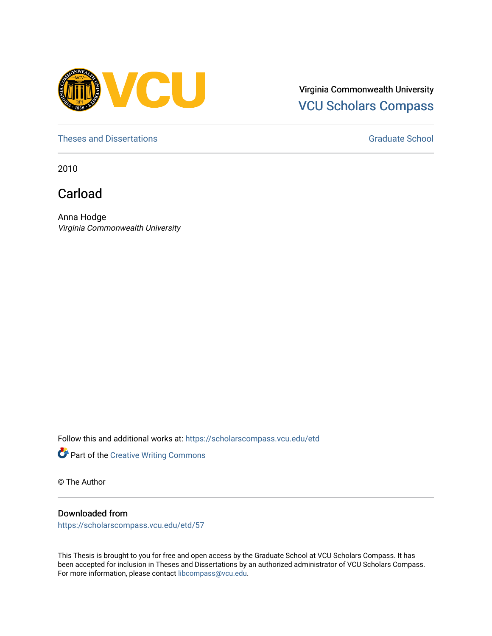

Virginia Commonwealth University [VCU Scholars Compass](https://scholarscompass.vcu.edu/) 

[Theses and Dissertations](https://scholarscompass.vcu.edu/etd) [Graduate School](https://scholarscompass.vcu.edu/gradschool) and Dissertations Graduate School and Dissertations Graduate School and Dissertations Graduate School and Dissertations Graduate School and Dissertations Graduate School and Dissert

2010

Carload

Anna Hodge Virginia Commonwealth University

Follow this and additional works at: [https://scholarscompass.vcu.edu/etd](https://scholarscompass.vcu.edu/etd?utm_source=scholarscompass.vcu.edu%2Fetd%2F57&utm_medium=PDF&utm_campaign=PDFCoverPages) 



© The Author

#### Downloaded from

[https://scholarscompass.vcu.edu/etd/57](https://scholarscompass.vcu.edu/etd/57?utm_source=scholarscompass.vcu.edu%2Fetd%2F57&utm_medium=PDF&utm_campaign=PDFCoverPages)

This Thesis is brought to you for free and open access by the Graduate School at VCU Scholars Compass. It has been accepted for inclusion in Theses and Dissertations by an authorized administrator of VCU Scholars Compass. For more information, please contact [libcompass@vcu.edu](mailto:libcompass@vcu.edu).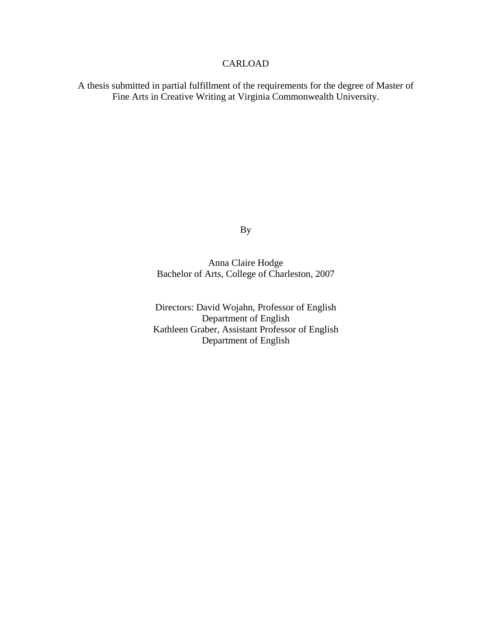#### CARLOAD

A thesis submitted in partial fulfillment of the requirements for the degree of Master of Fine Arts in Creative Writing at Virginia Commonwealth University.

By

Anna Claire Hodge Bachelor of Arts, College of Charleston, 2007

Directors: David Wojahn, Professor of English Department of English Kathleen Graber, Assistant Professor of English Department of English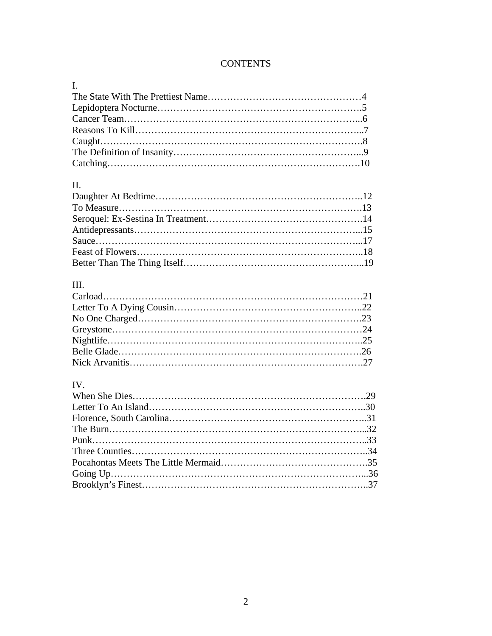### **CONTENTS**

| $\mathbf{I}$ , $\mathbf{I}$ |  |
|-----------------------------|--|
|                             |  |
|                             |  |
|                             |  |
|                             |  |
| $Caught. \dots 3$           |  |
|                             |  |
|                             |  |

### II.

## III.

## IV.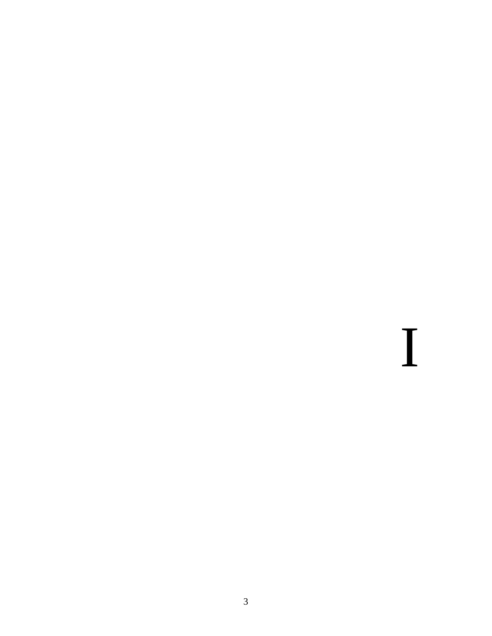I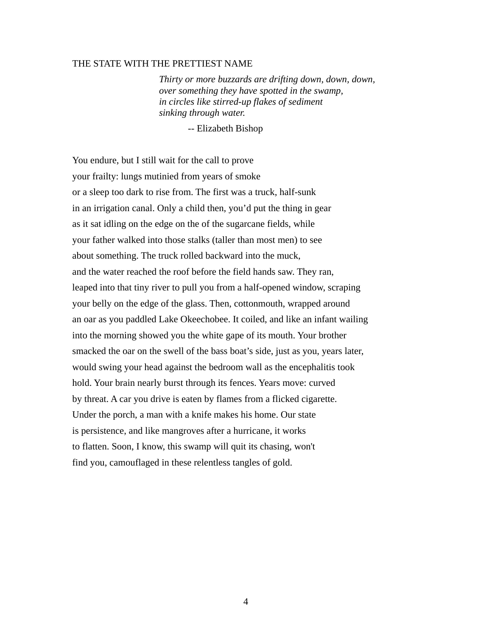#### THE STATE WITH THE PRETTIEST NAME

*Thirty or more buzzards are drifting down, down, down, over something they have spotted in the swamp, in circles like stirred-up flakes of sediment sinking through water.*

-- Elizabeth Bishop

You endure, but I still wait for the call to prove your frailty: lungs mutinied from years of smoke or a sleep too dark to rise from. The first was a truck, half-sunk in an irrigation canal. Only a child then, you'd put the thing in gear as it sat idling on the edge on the of the sugarcane fields, while your father walked into those stalks (taller than most men) to see about something. The truck rolled backward into the muck, and the water reached the roof before the field hands saw. They ran, leaped into that tiny river to pull you from a half-opened window, scraping your belly on the edge of the glass. Then, cottonmouth, wrapped around an oar as you paddled Lake Okeechobee. It coiled, and like an infant wailing into the morning showed you the white gape of its mouth. Your brother smacked the oar on the swell of the bass boat's side, just as you, years later, would swing your head against the bedroom wall as the encephalitis took hold. Your brain nearly burst through its fences. Years move: curved by threat. A car you drive is eaten by flames from a flicked cigarette. Under the porch, a man with a knife makes his home. Our state is persistence, and like mangroves after a hurricane, it works to flatten. Soon, I know, this swamp will quit its chasing, won't find you, camouflaged in these relentless tangles of gold.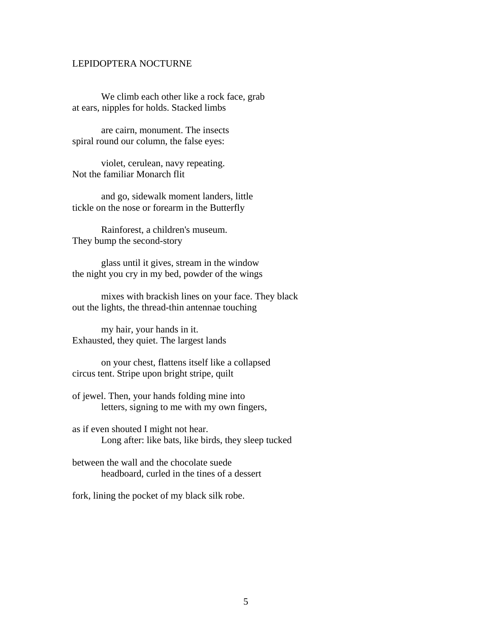#### LEPIDOPTERA NOCTURNE

We climb each other like a rock face, grab at ears, nipples for holds. Stacked limbs

are cairn, monument. The insects spiral round our column, the false eyes:

violet, cerulean, navy repeating. Not the familiar Monarch flit

and go, sidewalk moment landers, little tickle on the nose or forearm in the Butterfly

Rainforest, a children's museum. They bump the second-story

glass until it gives, stream in the window the night you cry in my bed, powder of the wings

mixes with brackish lines on your face. They black out the lights, the thread-thin antennae touching

my hair, your hands in it. Exhausted, they quiet. The largest lands

on your chest, flattens itself like a collapsed circus tent. Stripe upon bright stripe, quilt

of jewel. Then, your hands folding mine into letters, signing to me with my own fingers,

as if even shouted I might not hear. Long after: like bats, like birds, they sleep tucked

between the wall and the chocolate suede headboard, curled in the tines of a dessert

fork, lining the pocket of my black silk robe.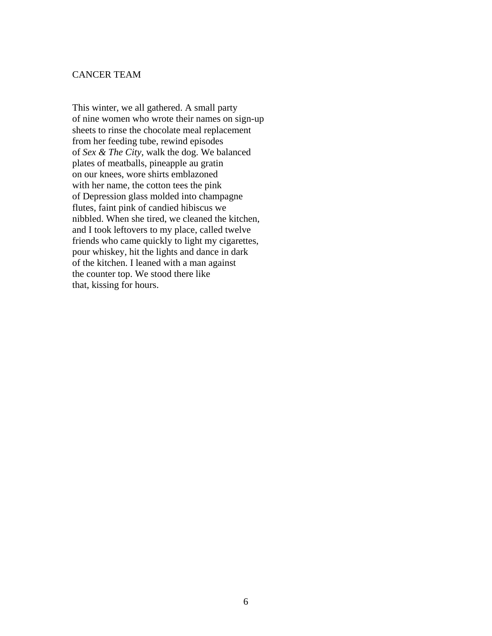#### CANCER TEAM

This winter, we all gathered. A small party of nine women who wrote their names on sign-up sheets to rinse the chocolate meal replacement from her feeding tube, rewind episodes of *Sex & The City,* walk the dog. We balanced plates of meatballs, pineapple au gratin on our knees, wore shirts emblazoned with her name, the cotton tees the pink of Depression glass molded into champagne flutes, faint pink of candied hibiscus we nibbled. When she tired, we cleaned the kitchen, and I took leftovers to my place, called twelve friends who came quickly to light my cigarettes, pour whiskey, hit the lights and dance in dark of the kitchen. I leaned with a man against the counter top. We stood there like that, kissing for hours.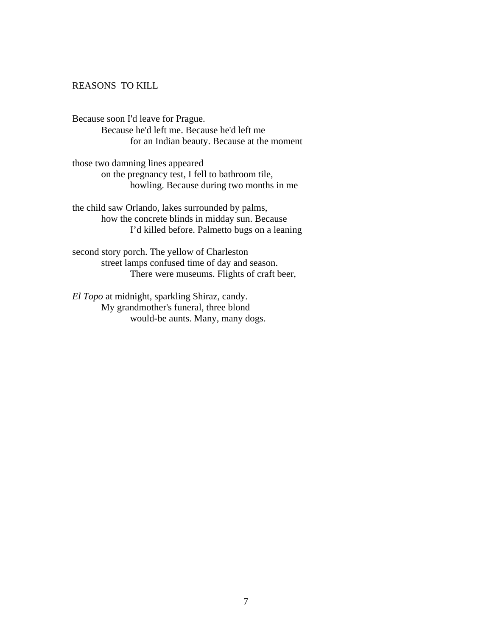#### REASONS TO KILL

Because soon I'd leave for Prague. Because he'd left me. Because he'd left me for an Indian beauty. Because at the moment

those two damning lines appeared on the pregnancy test, I fell to bathroom tile, howling. Because during two months in me

the child saw Orlando, lakes surrounded by palms, how the concrete blinds in midday sun. Because I'd killed before. Palmetto bugs on a leaning

second story porch. The yellow of Charleston street lamps confused time of day and season. There were museums. Flights of craft beer,

*El Topo* at midnight, sparkling Shiraz, candy. My grandmother's funeral, three blond would-be aunts. Many, many dogs.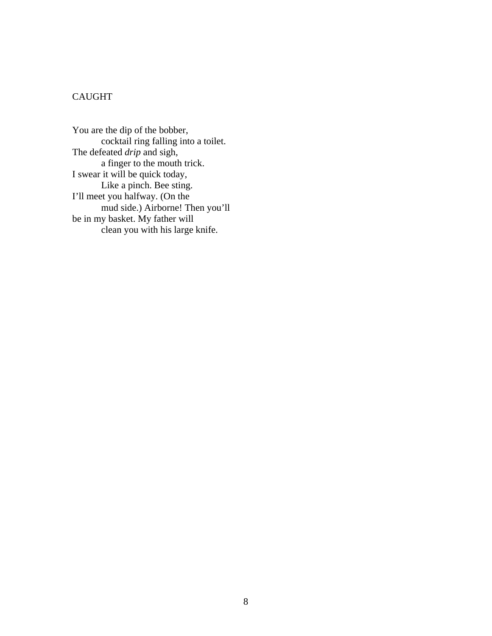#### CAUGHT

You are the dip of the bobber, cocktail ring falling into a toilet. The defeated *drip* and sigh, a finger to the mouth trick. I swear it will be quick today, Like a pinch. Bee sting. I'll meet you halfway. (On the mud side.) Airborne! Then you'll be in my basket. My father will clean you with his large knife.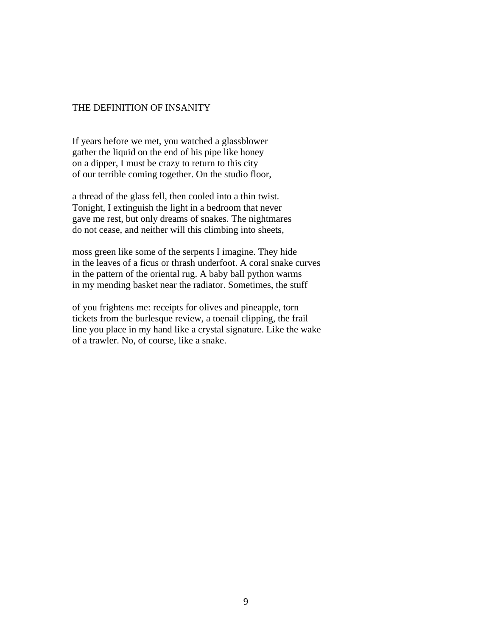#### THE DEFINITION OF INSANITY

If years before we met, you watched a glassblower gather the liquid on the end of his pipe like honey on a dipper, I must be crazy to return to this city of our terrible coming together. On the studio floor,

a thread of the glass fell, then cooled into a thin twist. Tonight, I extinguish the light in a bedroom that never gave me rest, but only dreams of snakes. The nightmares do not cease, and neither will this climbing into sheets,

moss green like some of the serpents I imagine. They hide in the leaves of a ficus or thrash underfoot. A coral snake curves in the pattern of the oriental rug. A baby ball python warms in my mending basket near the radiator. Sometimes, the stuff

of you frightens me: receipts for olives and pineapple, torn tickets from the burlesque review, a toenail clipping, the frail line you place in my hand like a crystal signature. Like the wake of a trawler. No, of course, like a snake.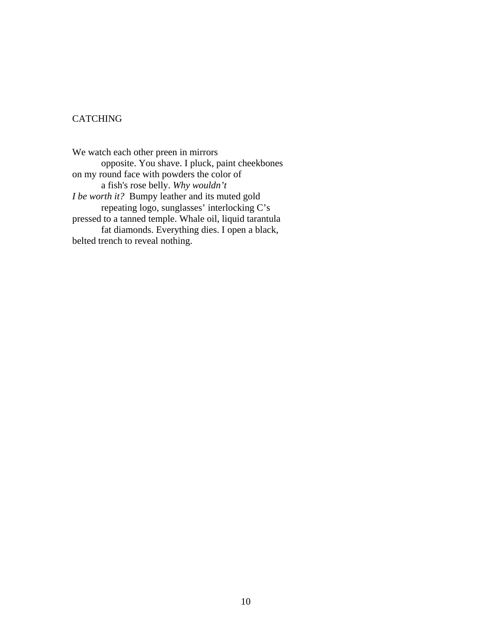#### CATCHING

We watch each other preen in mirrors opposite. You shave. I pluck, paint cheekbones on my round face with powders the color of a fish's rose belly. *Why wouldn't I be worth it?* Bumpy leather and its muted gold repeating logo, sunglasses' interlocking C's pressed to a tanned temple. Whale oil, liquid tarantula fat diamonds. Everything dies. I open a black, belted trench to reveal nothing.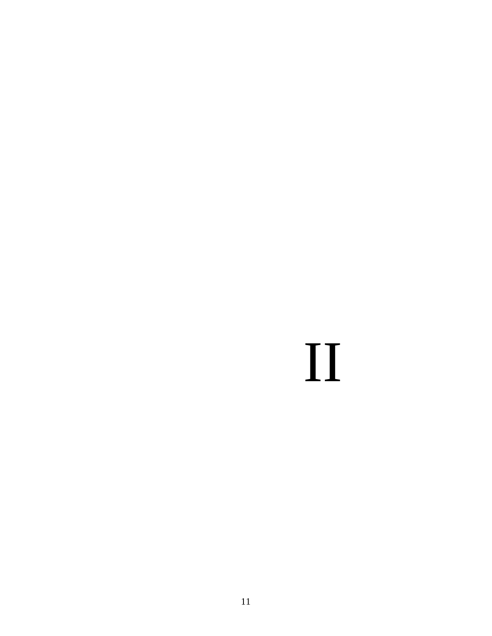# II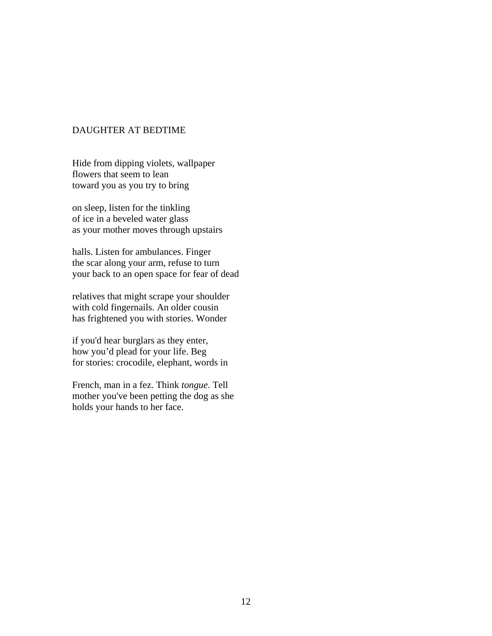#### DAUGHTER AT BEDTIME

Hide from dipping violets, wallpaper flowers that seem to lean toward you as you try to bring

on sleep, listen for the tinkling of ice in a beveled water glass as your mother moves through upstairs

halls. Listen for ambulances. Finger the scar along your arm, refuse to turn your back to an open space for fear of dead

relatives that might scrape your shoulder with cold fingernails. An older cousin has frightened you with stories. Wonder

if you'd hear burglars as they enter, how you'd plead for your life. Beg for stories: crocodile, elephant, words in

French, man in a fez. Think *tongue*. Tell mother you've been petting the dog as she holds your hands to her face.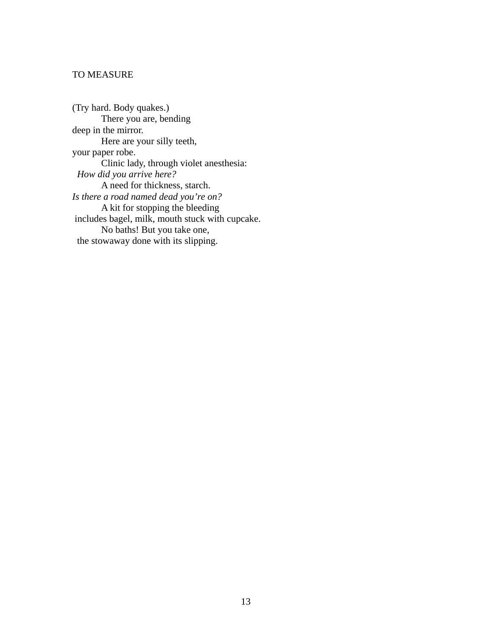#### TO MEASURE

(Try hard. Body quakes.) There you are, bending deep in the mirror. Here are your silly teeth, your paper robe. Clinic lady, through violet anesthesia: *How did you arrive here?*  A need for thickness, starch. *Is there a road named dead you're on?*  A kit for stopping the bleeding includes bagel, milk, mouth stuck with cupcake. No baths! But you take one, the stowaway done with its slipping.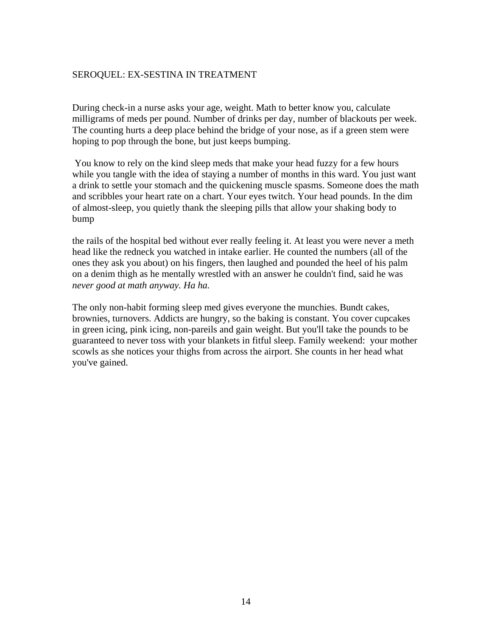#### SEROQUEL: EX-SESTINA IN TREATMENT

During check-in a nurse asks your age, weight. Math to better know you, calculate milligrams of meds per pound. Number of drinks per day, number of blackouts per week. The counting hurts a deep place behind the bridge of your nose, as if a green stem were hoping to pop through the bone, but just keeps bumping.

You know to rely on the kind sleep meds that make your head fuzzy for a few hours while you tangle with the idea of staying a number of months in this ward. You just want a drink to settle your stomach and the quickening muscle spasms. Someone does the math and scribbles your heart rate on a chart. Your eyes twitch. Your head pounds. In the dim of almost-sleep, you quietly thank the sleeping pills that allow your shaking body to bump

the rails of the hospital bed without ever really feeling it. At least you were never a meth head like the redneck you watched in intake earlier. He counted the numbers (all of the ones they ask you about) on his fingers, then laughed and pounded the heel of his palm on a denim thigh as he mentally wrestled with an answer he couldn't find, said he was *never good at math anyway. Ha ha.* 

The only non-habit forming sleep med gives everyone the munchies. Bundt cakes, brownies, turnovers. Addicts are hungry, so the baking is constant. You cover cupcakes in green icing, pink icing, non-pareils and gain weight. But you'll take the pounds to be guaranteed to never toss with your blankets in fitful sleep. Family weekend: your mother scowls as she notices your thighs from across the airport. She counts in her head what you've gained.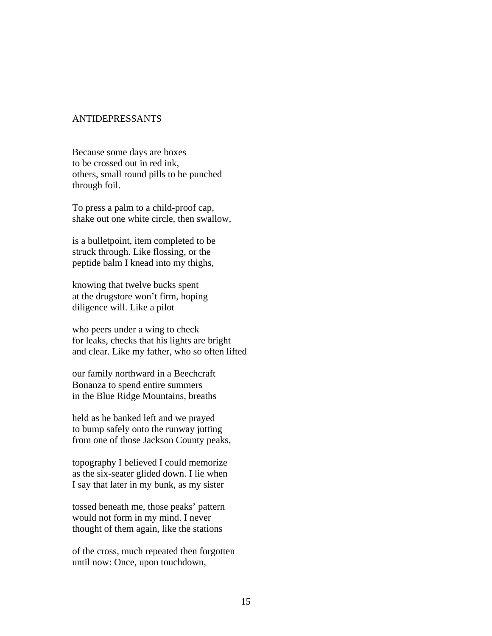#### ANTIDEPRESSANTS

Because some days are boxes to be crossed out in red ink, others, small round pills to be punched through foil.

To press a palm to a child-proof cap, shake out one white circle, then swallow,

is a bulletpoint, item completed to be struck through. Like flossing, or the peptide balm I knead into my thighs,

knowing that twelve bucks spent at the drugstore won't firm, hoping diligence will. Like a pilot

who peers under a wing to check for leaks, checks that his lights are bright and clear. Like my father, who so often lifted

our family northward in a Beechcraft Bonanza to spend entire summers in the Blue Ridge Mountains, breaths

held as he banked left and we prayed to bump safely onto the runway jutting from one of those Jackson County peaks,

topography I believed I could memorize as the six-seater glided down. I lie when I say that later in my bunk, as my sister

tossed beneath me, those peaks' pattern would not form in my mind. I never thought of them again, like the stations

of the cross, much repeated then forgotten until now: Once, upon touchdown,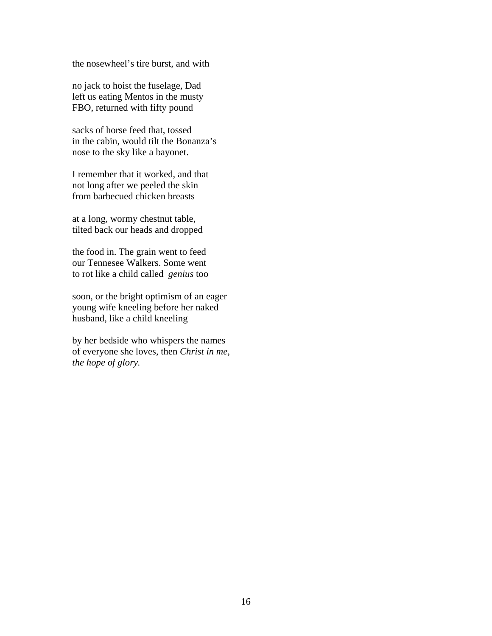the nosewheel's tire burst, and with

no jack to hoist the fuselage, Dad left us eating Mentos in the musty FBO, returned with fifty pound

sacks of horse feed that, tossed in the cabin, would tilt the Bonanza's nose to the sky like a bayonet.

I remember that it worked, and that not long after we peeled the skin from barbecued chicken breasts

at a long, wormy chestnut table, tilted back our heads and dropped

the food in. The grain went to feed our Tennesee Walkers. Some went to rot like a child called *genius* too

soon, or the bright optimism of an eager young wife kneeling before her naked husband, like a child kneeling

by her bedside who whispers the names of everyone she loves, then *Christ in me, the hope of glory.*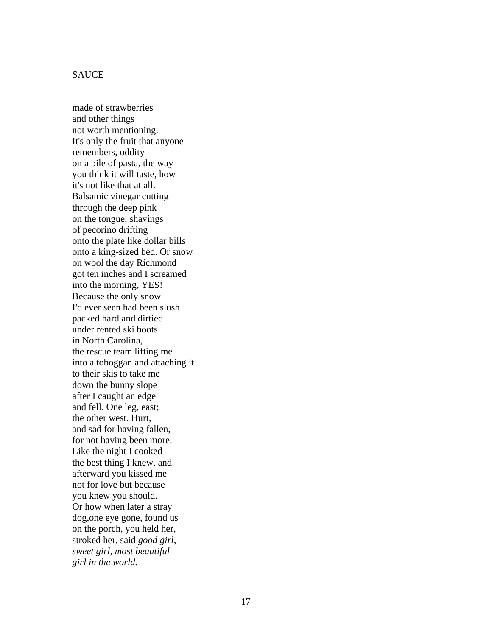#### **SAUCE**

made of strawberries and other things not worth mentioning. It's only the fruit that anyone remembers, oddity on a pile of pasta, the way you think it will taste, how it's not like that at all. Balsamic vinegar cutting through the deep pink on the tongue, shavings of pecorino drifting onto the plate like dollar bills onto a king-sized bed. Or snow on wool the day Richmond got ten inches and I screamed into the morning, YES! Because the only snow I'd ever seen had been slush packed hard and dirtied under rented ski boots in North Carolina, the rescue team lifting me into a toboggan and attaching it to their skis to take me down the bunny slope after I caught an edge and fell. One leg, east; the other west. Hurt, and sad for having fallen, for not having been more. Like the night I cooked the best thing I knew, and afterward you kissed me not for love but because you knew you should. Or how when later a stray dog,one eye gone, found us on the porch, you held her, stroked her, said *good girl, sweet girl, most beautiful girl in the world.*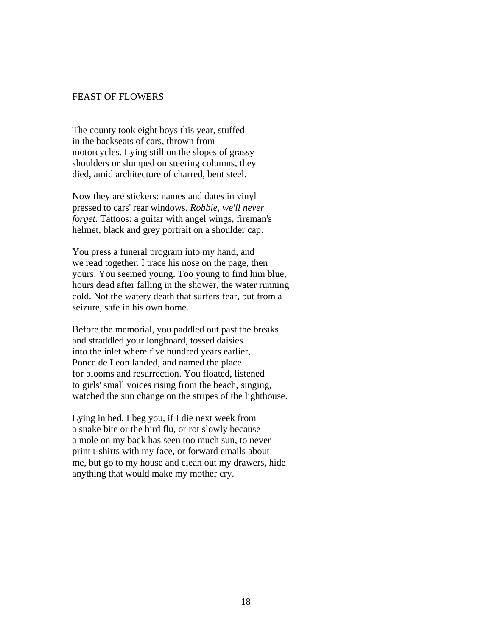#### FEAST OF FLOWERS

The county took eight boys this year, stuffed in the backseats of cars, thrown from motorcycles. Lying still on the slopes of grassy shoulders or slumped on steering columns, they died, amid architecture of charred, bent steel.

Now they are stickers: names and dates in vinyl pressed to cars' rear windows. *Robbie, we'll never forget*. Tattoos: a guitar with angel wings, fireman's helmet, black and grey portrait on a shoulder cap.

You press a funeral program into my hand, and we read together. I trace his nose on the page, then yours. You seemed young. Too young to find him blue, hours dead after falling in the shower, the water running cold. Not the watery death that surfers fear, but from a seizure, safe in his own home.

Before the memorial, you paddled out past the breaks and straddled your longboard, tossed daisies into the inlet where five hundred years earlier, Ponce de Leon landed, and named the place for blooms and resurrection. You floated, listened to girls' small voices rising from the beach, singing, watched the sun change on the stripes of the lighthouse.

Lying in bed, I beg you, if I die next week from a snake bite or the bird flu, or rot slowly because a mole on my back has seen too much sun, to never print t-shirts with my face, or forward emails about me, but go to my house and clean out my drawers, hide anything that would make my mother cry.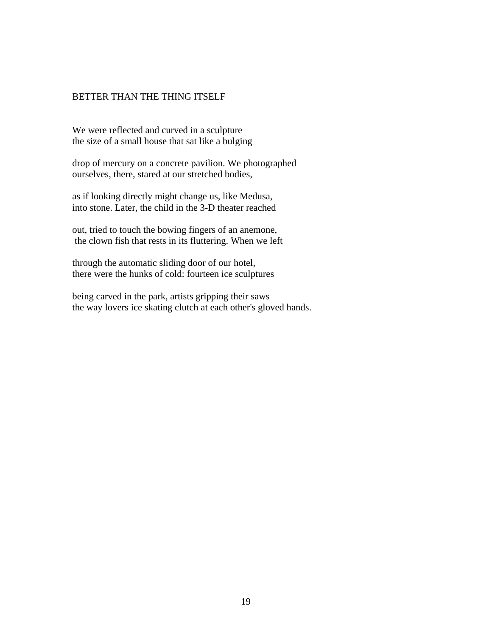#### BETTER THAN THE THING ITSELF

We were reflected and curved in a sculpture the size of a small house that sat like a bulging

drop of mercury on a concrete pavilion. We photographed ourselves, there, stared at our stretched bodies,

as if looking directly might change us, like Medusa, into stone. Later, the child in the 3-D theater reached

out, tried to touch the bowing fingers of an anemone, the clown fish that rests in its fluttering. When we left

through the automatic sliding door of our hotel, there were the hunks of cold: fourteen ice sculptures

being carved in the park, artists gripping their saws the way lovers ice skating clutch at each other's gloved hands.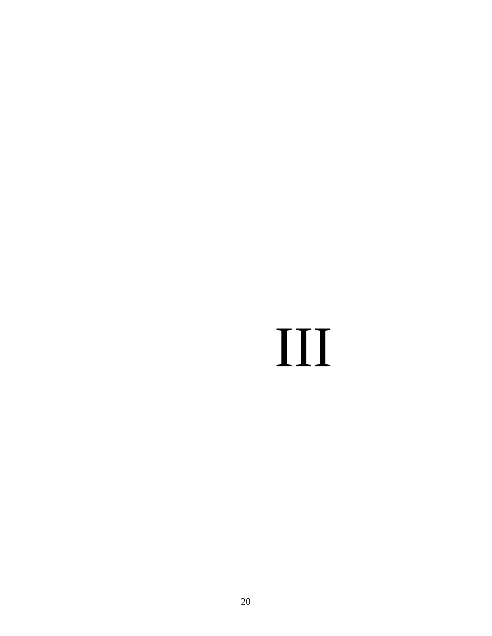## III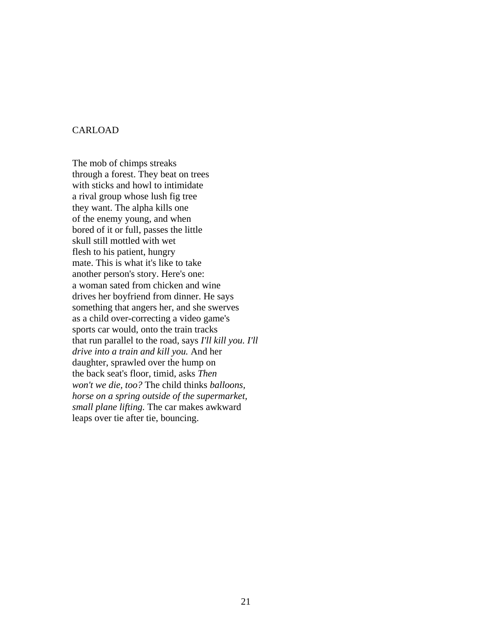#### CARLOAD

The mob of chimps streaks through a forest. They beat on trees with sticks and howl to intimidate a rival group whose lush fig tree they want. The alpha kills one of the enemy young, and when bored of it or full, passes the little skull still mottled with wet flesh to his patient, hungry mate. This is what it's like to take another person's story. Here's one: a woman sated from chicken and wine drives her boyfriend from dinner. He says something that angers her, and she swerves as a child over-correcting a video game's sports car would, onto the train tracks that run parallel to the road, says *I'll kill you. I'll drive into a train and kill you.* And her daughter, sprawled over the hump on the back seat's floor, timid, asks *Then won't we die, too?* The child thinks *balloons, horse on a spring outside of the supermarket, small plane lifting.* The car makes awkward leaps over tie after tie, bouncing.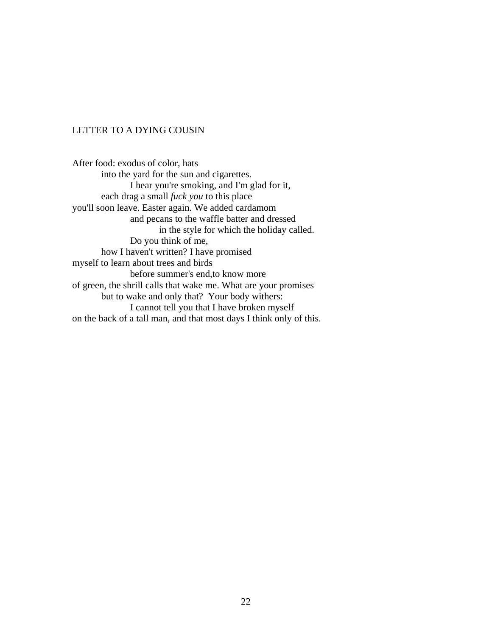#### LETTER TO A DYING COUSIN

After food: exodus of color, hats into the yard for the sun and cigarettes. I hear you're smoking, and I'm glad for it, each drag a small *fuck you* to this place you'll soon leave. Easter again. We added cardamom and pecans to the waffle batter and dressed in the style for which the holiday called. Do you think of me, how I haven't written? I have promised myself to learn about trees and birds before summer's end,to know more of green, the shrill calls that wake me. What are your promises but to wake and only that? Your body withers: I cannot tell you that I have broken myself on the back of a tall man, and that most days I think only of this.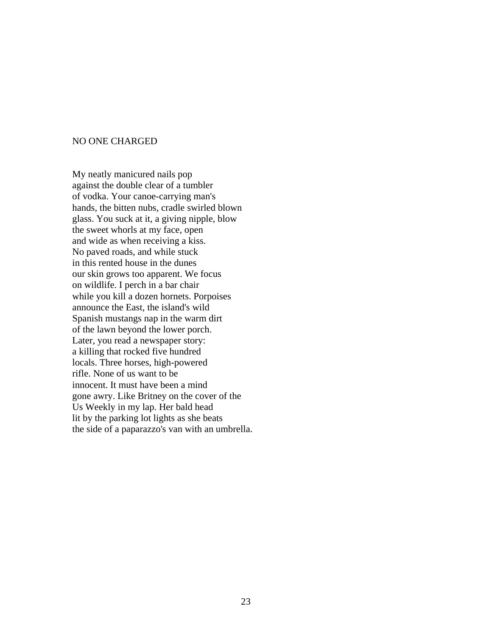#### NO ONE CHARGED

My neatly manicured nails pop against the double clear of a tumbler of vodka. Your canoe-carrying man's hands, the bitten nubs, cradle swirled blown glass. You suck at it, a giving nipple, blow the sweet whorls at my face, open and wide as when receiving a kiss. No paved roads, and while stuck in this rented house in the dunes our skin grows too apparent. We focus on wildlife. I perch in a bar chair while you kill a dozen hornets. Porpoises announce the East, the island's wild Spanish mustangs nap in the warm dirt of the lawn beyond the lower porch. Later, you read a newspaper story: a killing that rocked five hundred locals. Three horses, high-powered rifle. None of us want to be innocent. It must have been a mind gone awry. Like Britney on the cover of the Us Weekly in my lap. Her bald head lit by the parking lot lights as she beats the side of a paparazzo's van with an umbrella.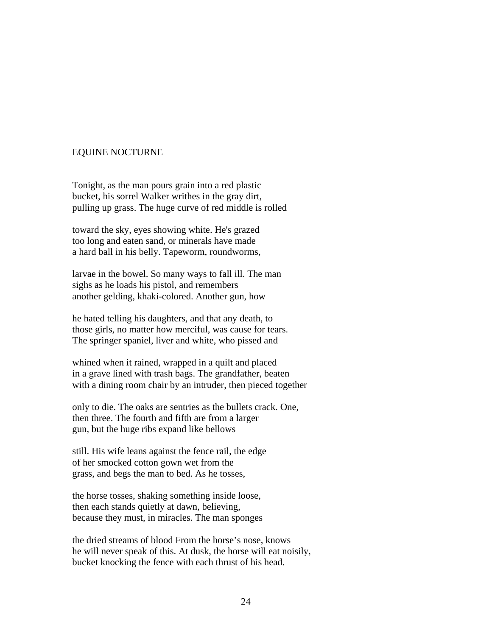#### EQUINE NOCTURNE

Tonight, as the man pours grain into a red plastic bucket, his sorrel Walker writhes in the gray dirt, pulling up grass. The huge curve of red middle is rolled

toward the sky, eyes showing white. He's grazed too long and eaten sand, or minerals have made a hard ball in his belly. Tapeworm, roundworms,

larvae in the bowel. So many ways to fall ill. The man sighs as he loads his pistol, and remembers another gelding, khaki-colored. Another gun, how

he hated telling his daughters, and that any death, to those girls, no matter how merciful, was cause for tears. The springer spaniel, liver and white, who pissed and

whined when it rained, wrapped in a quilt and placed in a grave lined with trash bags. The grandfather, beaten with a dining room chair by an intruder, then pieced together

only to die. The oaks are sentries as the bullets crack. One, then three. The fourth and fifth are from a larger gun, but the huge ribs expand like bellows

still. His wife leans against the fence rail, the edge of her smocked cotton gown wet from the grass, and begs the man to bed. As he tosses,

the horse tosses, shaking something inside loose, then each stands quietly at dawn, believing, because they must, in miracles. The man sponges

the dried streams of blood From the horse's nose, knows he will never speak of this. At dusk, the horse will eat noisily, bucket knocking the fence with each thrust of his head.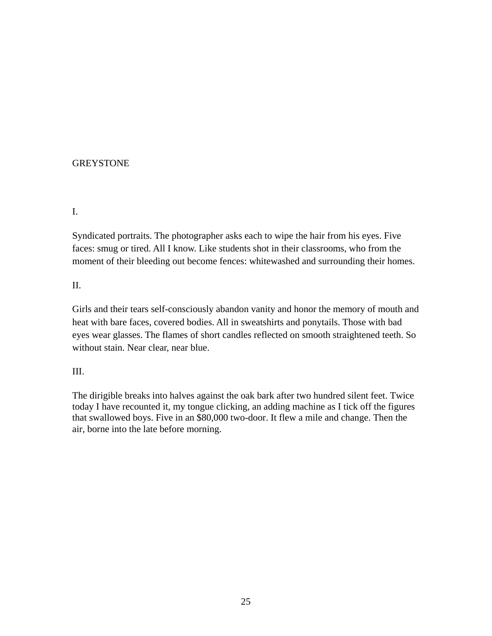#### **GREYSTONE**

#### I.

Syndicated portraits. The photographer asks each to wipe the hair from his eyes. Five faces: smug or tired. All I know. Like students shot in their classrooms, who from the moment of their bleeding out become fences: whitewashed and surrounding their homes.

#### II.

Girls and their tears self-consciously abandon vanity and honor the memory of mouth and heat with bare faces, covered bodies. All in sweatshirts and ponytails. Those with bad eyes wear glasses. The flames of short candles reflected on smooth straightened teeth. So without stain. Near clear, near blue.

#### III.

The dirigible breaks into halves against the oak bark after two hundred silent feet. Twice today I have recounted it, my tongue clicking, an adding machine as I tick off the figures that swallowed boys. Five in an \$80,000 two-door. It flew a mile and change. Then the air, borne into the late before morning.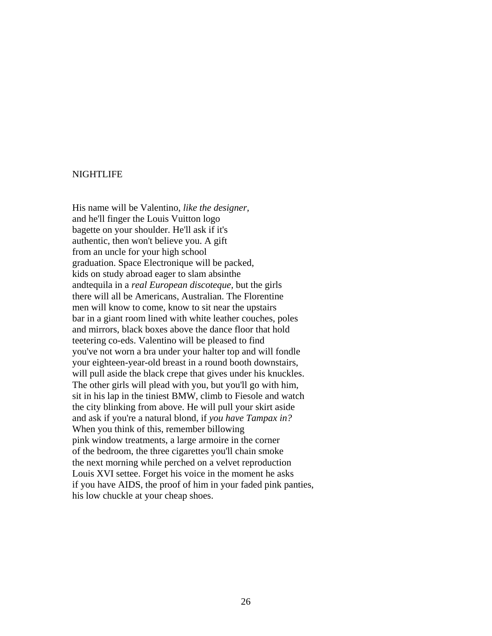#### NIGHTLIFE

His name will be Valentino, *like the designer,* and he'll finger the Louis Vuitton logo bagette on your shoulder. He'll ask if it's authentic, then won't believe you. A gift from an uncle for your high school graduation. Space Electronique will be packed, kids on study abroad eager to slam absinthe andtequila in a *real European discoteque,* but the girls there will all be Americans, Australian. The Florentine men will know to come, know to sit near the upstairs bar in a giant room lined with white leather couches, poles and mirrors, black boxes above the dance floor that hold teetering co-eds. Valentino will be pleased to find you've not worn a bra under your halter top and will fondle your eighteen-year-old breast in a round booth downstairs, will pull aside the black crepe that gives under his knuckles. The other girls will plead with you, but you'll go with him, sit in his lap in the tiniest BMW, climb to Fiesole and watch the city blinking from above. He will pull your skirt aside and ask if you're a natural blond, if *you have Tampax in?*  When you think of this, remember billowing pink window treatments, a large armoire in the corner of the bedroom, the three cigarettes you'll chain smoke the next morning while perched on a velvet reproduction Louis XVI settee. Forget his voice in the moment he asks if you have AIDS, the proof of him in your faded pink panties, his low chuckle at your cheap shoes.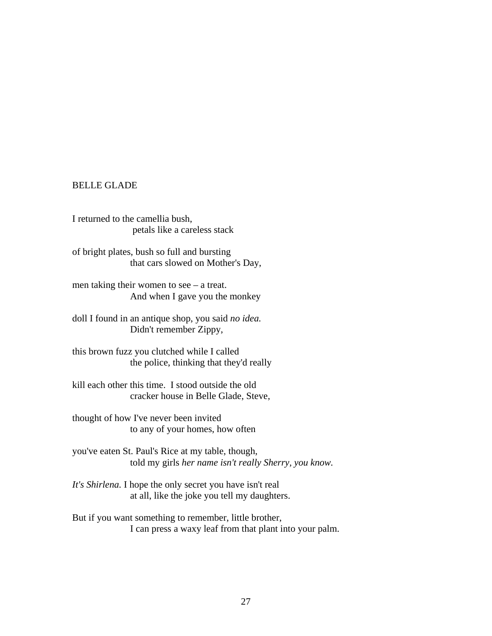#### BELLE GLADE

I returned to the camellia bush, petals like a careless stack

of bright plates, bush so full and bursting that cars slowed on Mother's Day,

men taking their women to see – a treat. And when I gave you the monkey

doll I found in an antique shop, you said *no idea.*  Didn't remember Zippy,

this brown fuzz you clutched while I called the police, thinking that they'd really

kill each other this time. I stood outside the old cracker house in Belle Glade, Steve,

thought of how I've never been invited to any of your homes, how often

you've eaten St. Paul's Rice at my table, though, told my girls *her name isn't really Sherry, you know.* 

*It's Shirlena.* I hope the only secret you have isn't real at all, like the joke you tell my daughters.

But if you want something to remember, little brother, I can press a waxy leaf from that plant into your palm.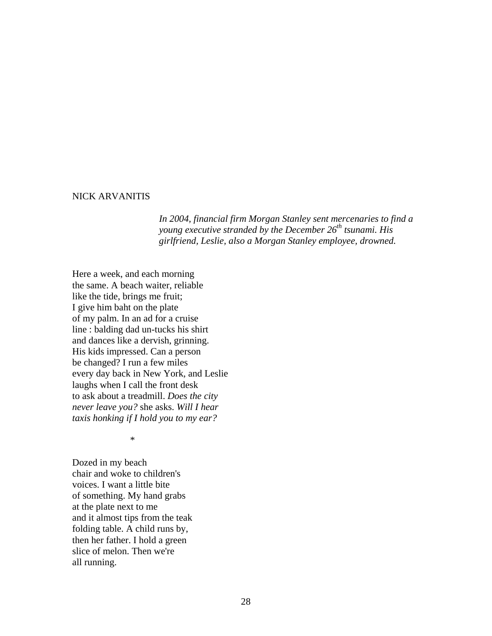#### NICK ARVANITIS

*In 2004, financial firm Morgan Stanley sent mercenaries to find a young executive stranded by the December 26th tsunami. His girlfriend, Leslie, also a Morgan Stanley employee, drowned.* 

Here a week, and each morning the same. A beach waiter, reliable like the tide, brings me fruit; I give him baht on the plate of my palm. In an ad for a cruise line : balding dad un-tucks his shirt and dances like a dervish, grinning. His kids impressed. Can a person be changed? I run a few miles every day back in New York, and Leslie laughs when I call the front desk to ask about a treadmill. *Does the city never leave you?* she asks. *Will I hear taxis honking if I hold you to my ear?*

\*

Dozed in my beach chair and woke to children's voices. I want a little bite of something. My hand grabs at the plate next to me and it almost tips from the teak folding table. A child runs by, then her father. I hold a green slice of melon. Then we're all running.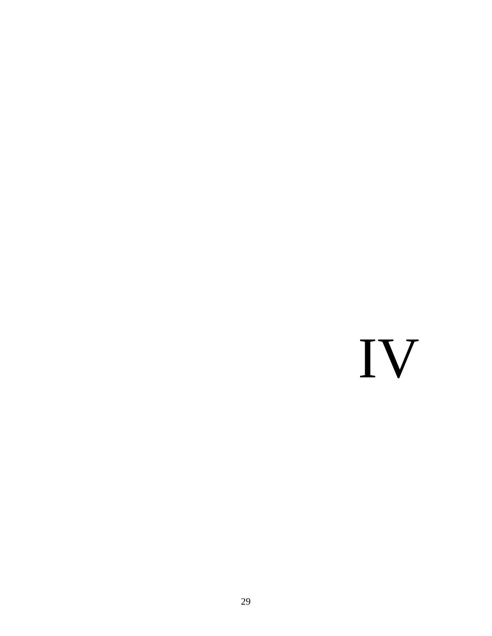## IV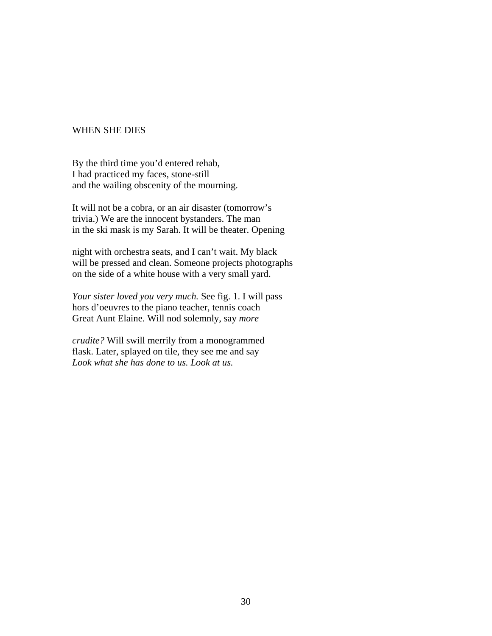#### WHEN SHE DIES

By the third time you'd entered rehab, I had practiced my faces, stone-still and the wailing obscenity of the mourning.

It will not be a cobra, or an air disaster (tomorrow's trivia.) We are the innocent bystanders. The man in the ski mask is my Sarah. It will be theater. Opening

night with orchestra seats, and I can't wait. My black will be pressed and clean. Someone projects photographs on the side of a white house with a very small yard.

*Your sister loved you very much.* See fig. 1. I will pass hors d'oeuvres to the piano teacher, tennis coach Great Aunt Elaine. Will nod solemnly, say *more*

*crudite?* Will swill merrily from a monogrammed flask. Later, splayed on tile, they see me and say *Look what she has done to us. Look at us.*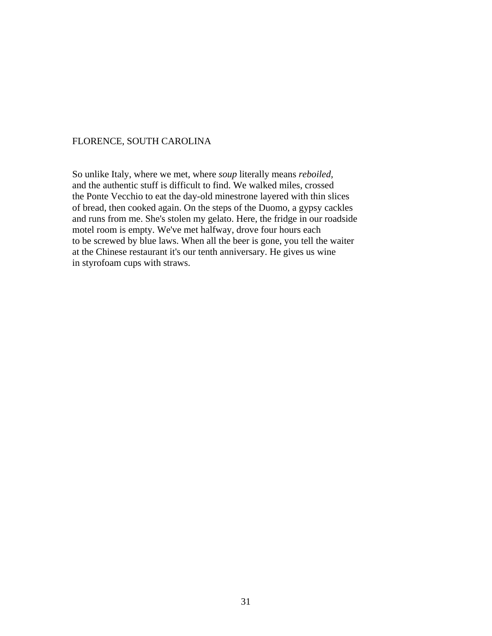#### FLORENCE, SOUTH CAROLINA

So unlike Italy, where we met, where *soup* literally means *reboiled,* and the authentic stuff is difficult to find. We walked miles, crossed the Ponte Vecchio to eat the day-old minestrone layered with thin slices of bread, then cooked again. On the steps of the Duomo, a gypsy cackles and runs from me. She's stolen my gelato. Here, the fridge in our roadside motel room is empty. We've met halfway, drove four hours each to be screwed by blue laws. When all the beer is gone, you tell the waiter at the Chinese restaurant it's our tenth anniversary. He gives us wine in styrofoam cups with straws.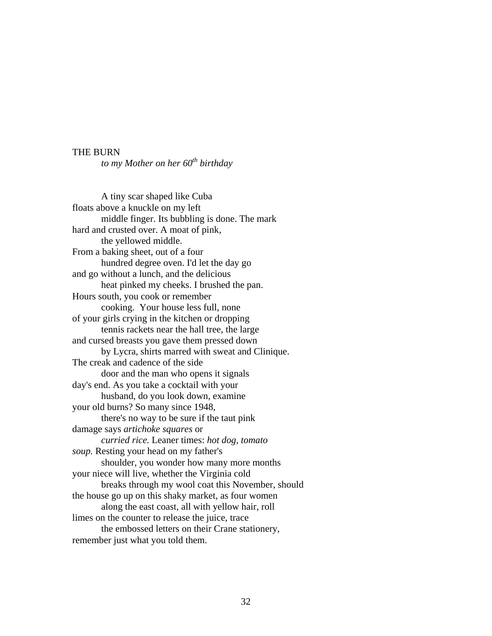#### THE BURN

*to my Mother on her 60<sup>th</sup> birthday* 

A tiny scar shaped like Cuba floats above a knuckle on my left middle finger. Its bubbling is done. The mark hard and crusted over. A moat of pink, the yellowed middle. From a baking sheet, out of a four hundred degree oven. I'd let the day go and go without a lunch, and the delicious heat pinked my cheeks. I brushed the pan. Hours south, you cook or remember cooking. Your house less full, none of your girls crying in the kitchen or dropping tennis rackets near the hall tree, the large and cursed breasts you gave them pressed down by Lycra, shirts marred with sweat and Clinique. The creak and cadence of the side door and the man who opens it signals day's end. As you take a cocktail with your husband, do you look down, examine your old burns? So many since 1948, there's no way to be sure if the taut pink damage says *artichoke squares* or *curried rice.* Leaner times: *hot dog, tomato soup.* Resting your head on my father's shoulder, you wonder how many more months your niece will live, whether the Virginia cold breaks through my wool coat this November, should the house go up on this shaky market, as four women along the east coast, all with yellow hair, roll limes on the counter to release the juice, trace the embossed letters on their Crane stationery, remember just what you told them.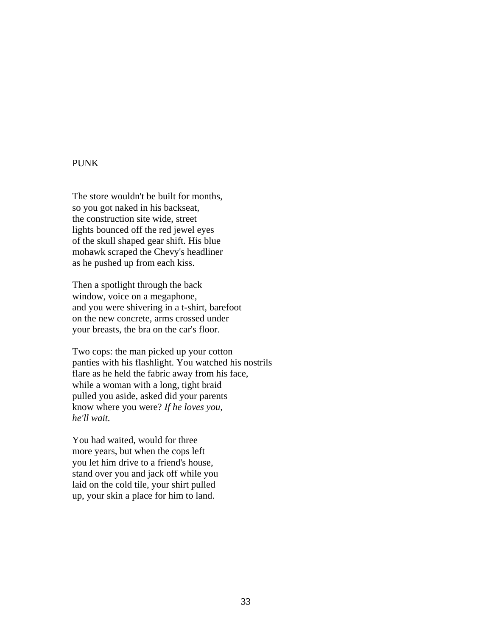#### PUNK

The store wouldn't be built for months, so you got naked in his backseat, the construction site wide, street lights bounced off the red jewel eyes of the skull shaped gear shift. His blue mohawk scraped the Chevy's headliner as he pushed up from each kiss.

Then a spotlight through the back window, voice on a megaphone, and you were shivering in a t-shirt, barefoot on the new concrete, arms crossed under your breasts, the bra on the car's floor.

Two cops: the man picked up your cotton panties with his flashlight. You watched his nostrils flare as he held the fabric away from his face, while a woman with a long, tight braid pulled you aside, asked did your parents know where you were? *If he loves you, he'll wait.* 

You had waited, would for three more years, but when the cops left you let him drive to a friend's house, stand over you and jack off while you laid on the cold tile, your shirt pulled up, your skin a place for him to land.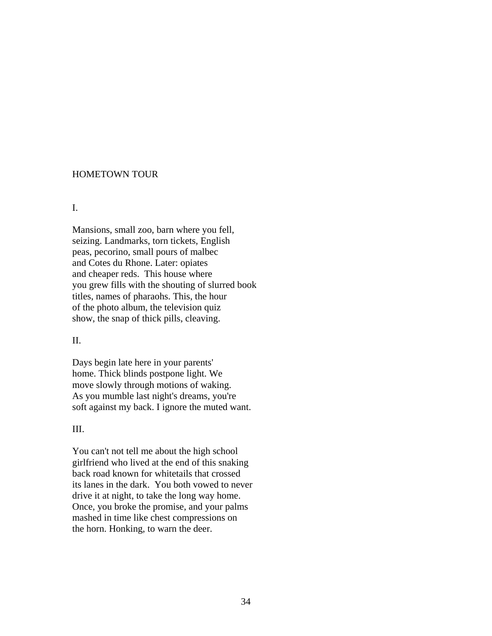#### HOMETOWN TOUR

#### I.

Mansions, small zoo, barn where you fell, seizing. Landmarks, torn tickets, English peas, pecorino, small pours of malbec and Cotes du Rhone. Later: opiates and cheaper reds. This house where you grew fills with the shouting of slurred book titles, names of pharaohs. This, the hour of the photo album, the television quiz show, the snap of thick pills, cleaving.

#### II.

Days begin late here in your parents' home. Thick blinds postpone light. We move slowly through motions of waking. As you mumble last night's dreams, you're soft against my back. I ignore the muted want.

#### III.

You can't not tell me about the high school girlfriend who lived at the end of this snaking back road known for whitetails that crossed its lanes in the dark. You both vowed to never drive it at night, to take the long way home. Once, you broke the promise, and your palms mashed in time like chest compressions on the horn. Honking, to warn the deer.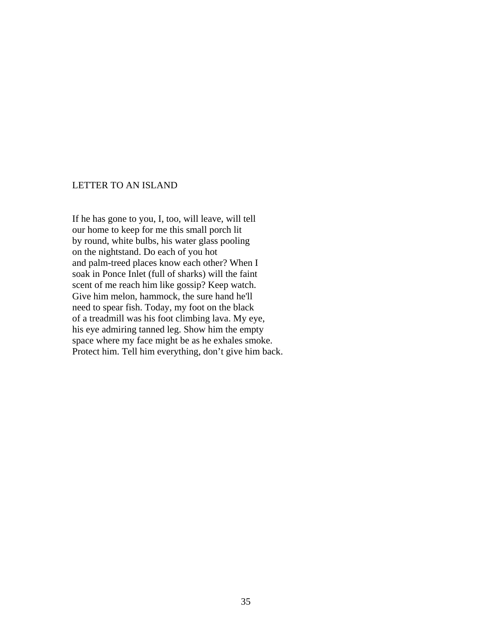#### LETTER TO AN ISLAND

If he has gone to you, I, too, will leave, will tell our home to keep for me this small porch lit by round, white bulbs, his water glass pooling on the nightstand. Do each of you hot and palm-treed places know each other? When I soak in Ponce Inlet (full of sharks) will the faint scent of me reach him like gossip? Keep watch. Give him melon, hammock, the sure hand he'll need to spear fish. Today, my foot on the black of a treadmill was his foot climbing lava. My eye, his eye admiring tanned leg. Show him the empty space where my face might be as he exhales smoke. Protect him. Tell him everything, don't give him back.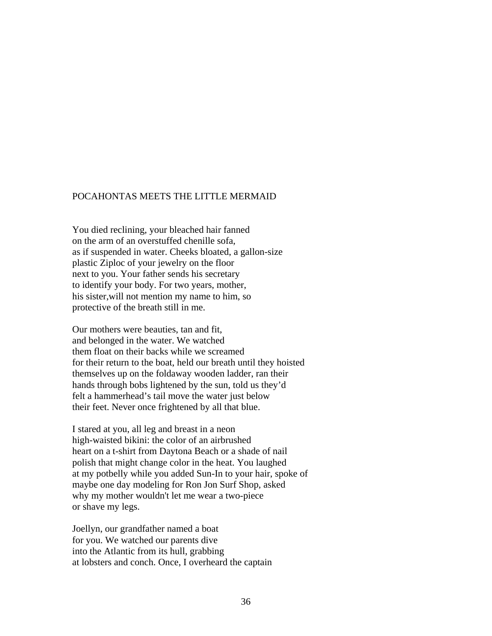#### POCAHONTAS MEETS THE LITTLE MERMAID

You died reclining, your bleached hair fanned on the arm of an overstuffed chenille sofa, as if suspended in water. Cheeks bloated, a gallon-size plastic Ziploc of your jewelry on the floor next to you. Your father sends his secretary to identify your body. For two years, mother, his sister,will not mention my name to him, so protective of the breath still in me.

Our mothers were beauties, tan and fit, and belonged in the water. We watched them float on their backs while we screamed for their return to the boat, held our breath until they hoisted themselves up on the foldaway wooden ladder, ran their hands through bobs lightened by the sun, told us they'd felt a hammerhead's tail move the water just below their feet. Never once frightened by all that blue.

I stared at you, all leg and breast in a neon high-waisted bikini: the color of an airbrushed heart on a t-shirt from Daytona Beach or a shade of nail polish that might change color in the heat. You laughed at my potbelly while you added Sun-In to your hair, spoke of maybe one day modeling for Ron Jon Surf Shop, asked why my mother wouldn't let me wear a two-piece or shave my legs.

Joellyn, our grandfather named a boat for you. We watched our parents dive into the Atlantic from its hull, grabbing at lobsters and conch. Once, I overheard the captain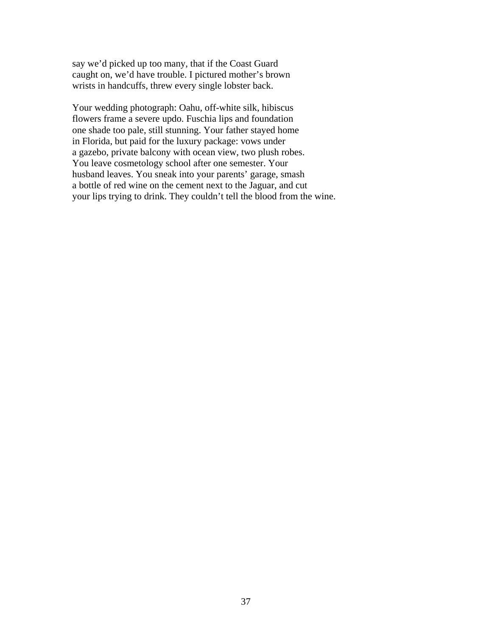say we'd picked up too many, that if the Coast Guard caught on, we'd have trouble. I pictured mother's brown wrists in handcuffs, threw every single lobster back.

Your wedding photograph: Oahu, off-white silk, hibiscus flowers frame a severe updo. Fuschia lips and foundation one shade too pale, still stunning. Your father stayed home in Florida, but paid for the luxury package: vows under a gazebo, private balcony with ocean view, two plush robes. You leave cosmetology school after one semester. Your husband leaves. You sneak into your parents' garage, smash a bottle of red wine on the cement next to the Jaguar, and cut your lips trying to drink. They couldn't tell the blood from the wine.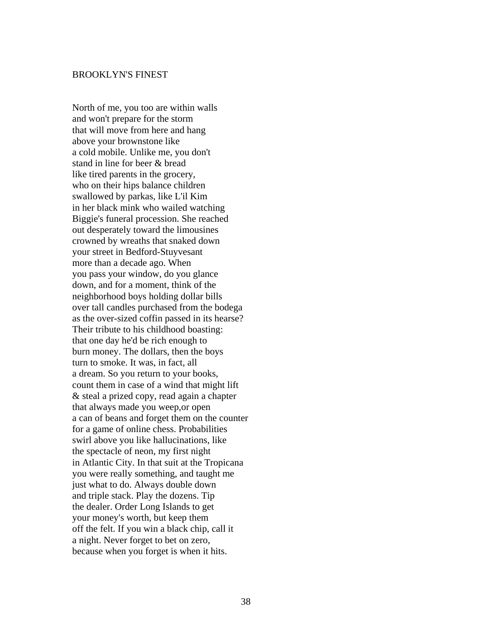#### BROOKLYN'S FINEST

North of me, you too are within walls and won't prepare for the storm that will move from here and hang above your brownstone like a cold mobile. Unlike me, you don't stand in line for beer & bread like tired parents in the grocery, who on their hips balance children swallowed by parkas, like L'il Kim in her black mink who wailed watching Biggie's funeral procession. She reached out desperately toward the limousines crowned by wreaths that snaked down your street in Bedford-Stuyvesant more than a decade ago. When you pass your window, do you glance down, and for a moment, think of the neighborhood boys holding dollar bills over tall candles purchased from the bodega as the over-sized coffin passed in its hearse? Their tribute to his childhood boasting: that one day he'd be rich enough to burn money. The dollars, then the boys turn to smoke. It was, in fact, all a dream. So you return to your books, count them in case of a wind that might lift & steal a prized copy, read again a chapter that always made you weep,or open a can of beans and forget them on the counter for a game of online chess. Probabilities swirl above you like hallucinations, like the spectacle of neon, my first night in Atlantic City. In that suit at the Tropicana you were really something, and taught me just what to do. Always double down and triple stack. Play the dozens. Tip the dealer. Order Long Islands to get your money's worth, but keep them off the felt. If you win a black chip, call it a night. Never forget to bet on zero, because when you forget is when it hits.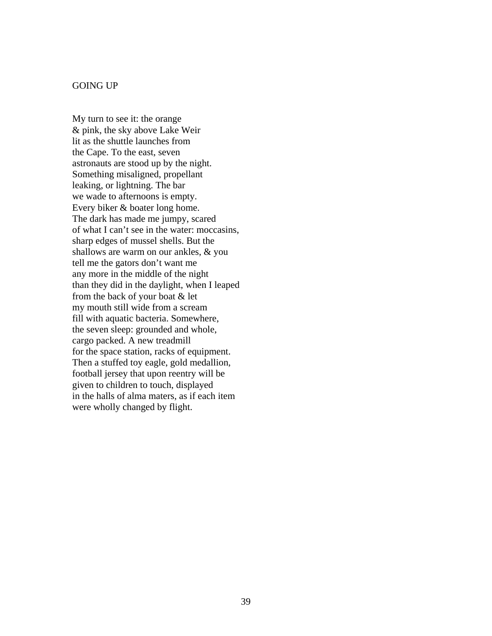#### GOING UP

My turn to see it: the orange & pink, the sky above Lake Weir lit as the shuttle launches from the Cape. To the east, seven astronauts are stood up by the night. Something misaligned, propellant leaking, or lightning. The bar we wade to afternoons is empty. Every biker & boater long home. The dark has made me jumpy, scared of what I can't see in the water: moccasins, sharp edges of mussel shells. But the shallows are warm on our ankles, & you tell me the gators don't want me any more in the middle of the night than they did in the daylight, when I leaped from the back of your boat & let my mouth still wide from a scream fill with aquatic bacteria. Somewhere, the seven sleep: grounded and whole, cargo packed. A new treadmill for the space station, racks of equipment. Then a stuffed toy eagle, gold medallion, football jersey that upon reentry will be given to children to touch, displayed in the halls of alma maters, as if each item were wholly changed by flight.